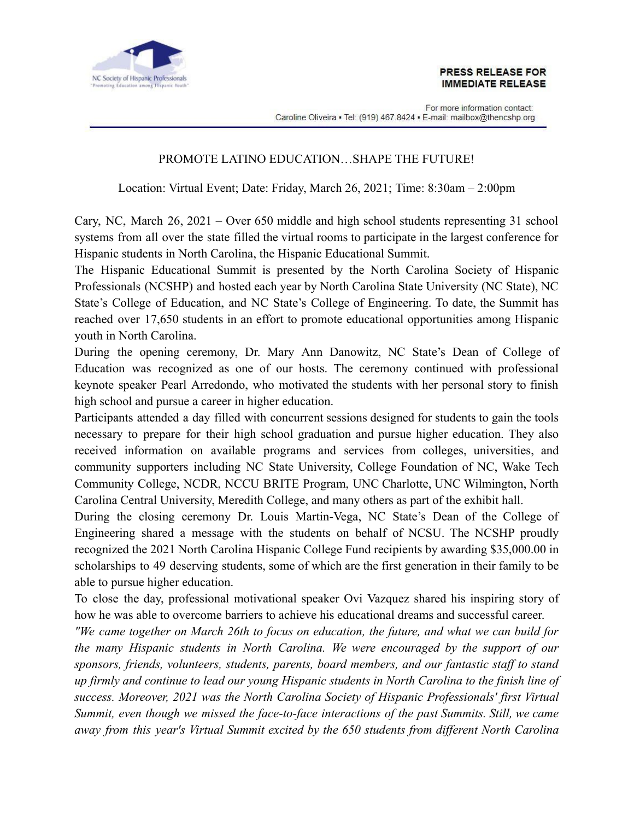

For more information contact: Caroline Oliveira • Tel: (919) 467.8424 • E-mail: mailbox@thencshp.org

## PROMOTE LATINO EDUCATION…SHAPE THE FUTURE!

Location: Virtual Event; Date: Friday, March 26, 2021; Time: 8:30am – 2:00pm

Cary, NC, March 26, 2021 – Over 650 middle and high school students representing 31 school systems from all over the state filled the virtual rooms to participate in the largest conference for Hispanic students in North Carolina, the Hispanic Educational Summit.

The Hispanic Educational Summit is presented by the North Carolina Society of Hispanic Professionals (NCSHP) and hosted each year by North Carolina State University (NC State), NC State's College of Education, and NC State's College of Engineering. To date, the Summit has reached over 17,650 students in an effort to promote educational opportunities among Hispanic youth in North Carolina.

During the opening ceremony, Dr. Mary Ann Danowitz, NC State's Dean of College of Education was recognized as one of our hosts. The ceremony continued with professional keynote speaker Pearl Arredondo, who motivated the students with her personal story to finish high school and pursue a career in higher education.

Participants attended a day filled with concurrent sessions designed for students to gain the tools necessary to prepare for their high school graduation and pursue higher education. They also received information on available programs and services from colleges, universities, and community supporters including NC State University, College Foundation of NC, Wake Tech Community College, NCDR, NCCU BRITE Program, UNC Charlotte, UNC Wilmington, North Carolina Central University, Meredith College, and many others as part of the exhibit hall.

During the closing ceremony Dr. Louis Martin-Vega, NC State's Dean of the College of Engineering shared a message with the students on behalf of NCSU. The NCSHP proudly recognized the 2021 North Carolina Hispanic College Fund recipients by awarding \$35,000.00 in scholarships to 49 deserving students, some of which are the first generation in their family to be able to pursue higher education.

To close the day, professional motivational speaker Ovi Vazquez shared his inspiring story of how he was able to overcome barriers to achieve his educational dreams and successful career.

*"We came together on March 26th to focus on education, the future, and what we can build for the many Hispanic students in North Carolina. We were encouraged by the support of our sponsors, friends, volunteers, students, parents, board members, and our fantastic staff to stand up firmly and continue to lead our young Hispanic students in North Carolina to the finish line of success. Moreover, 2021 was the North Carolina Society of Hispanic Professionals' first Virtual Summit, even though we missed the face-to-face interactions of the past Summits. Still, we came away from this year's Virtual Summit excited by the 650 students from different North Carolina*